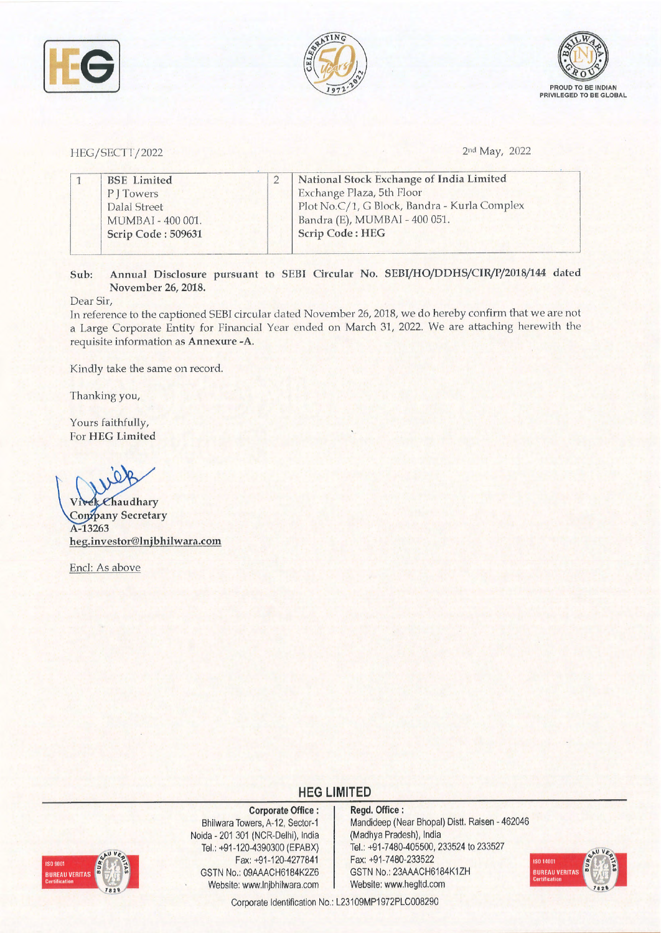





HEG/SECTT/2022

2nd May, 2022

| <b>BSE</b> Limited | National Stock Exchange of India Limited     |
|--------------------|----------------------------------------------|
| P   Towers         | Exchange Plaza, 5th Floor                    |
| Dalal Street       | Plot No.C/1, G Block, Bandra - Kurla Complex |
| MUMBAI - 400 001.  | Bandra (E), MUMBAI - 400 051.                |
| Scrip Code: 509631 | <b>Scrip Code: HEG</b>                       |

**Sub: Annual Disclosure pursuant to SEBJ Circular No. SEBI/HO/DDHS/CIR/P/2018/144 dated November 26, 2018.** 

Dear Sir,

Tn reference to the captioned SEBI circular dated November 26, 2018, we do hereby confirm that we are not a Large Corporate Entity for Financial Year ended on March 31, 2022. We are attaching herewith the requisite information as **Annexure -A**.

Kindly take the same on record.

Thanking you,

Yours faithfully, For **HEG Limited** 

 $\epsilon$ haudhary **Company Secretary A-13263 heg.investor@lnjbhilwara.com** 

Encl: As above

## **HEG LIMITED**



**Corporate Office** : Bhilwara Towers, A-12, Sector-1 Noida • 201 301 (NCR-Delhi}, India Tel.: +91-120-4390300 (EPABX) Fax: +91-120-4277841 GSTN No.: 09AAACH6184K2Z6 Website: www.lnjbhilwara.com Website: www.hegltd.com

**Regd. Office:**  Mandideep (Near Bhopal) Distt. Raisen - 462046 (Madhya Pradesh), India Tel.: +91 -7480-405500, 233524 to 233527 Fax: +91-7480-233522 GSTN No.: 23AAACH6184K1ZH



Corporate Identification No.: L23109MP1972PLC008290